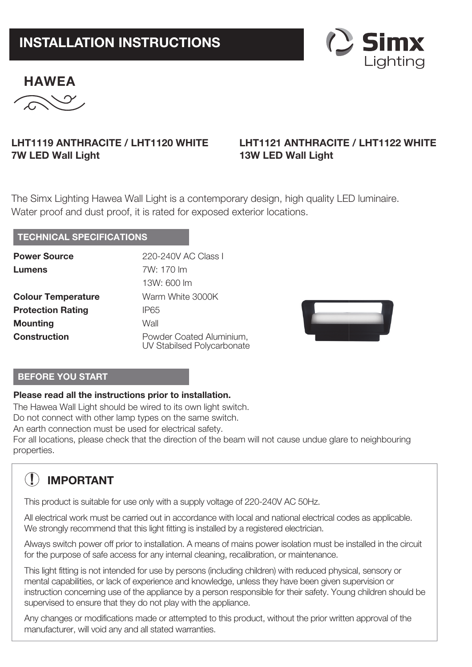# **INSTALLATION INSTRUCTIONS**



$$
\overbrace{\text{EXAMPLEA}}^{\text{HAWEA}}
$$

### **LHT1119 ANTHRACITE / LHT1120 WHITE 7W LED Wall Light**

## **LHT1121 ANTHRACITE / LHT1122 WHITE 13W LED Wall Light**

The Simx Lighting Hawea Wall Light is a contemporary design, high quality LED luminaire. Water proof and dust proof, it is rated for exposed exterior locations.

#### **TECHNICAL SPECIFICATIONS**

| <b>Power Source</b>       | 220-240V AC Class I                                    |
|---------------------------|--------------------------------------------------------|
| Lumens                    | 7W: 170 lm                                             |
|                           | 13W: 600 lm                                            |
| <b>Colour Temperature</b> | Warm White 3000K                                       |
| <b>Protection Rating</b>  | IP65                                                   |
| <b>Mounting</b>           | Wall                                                   |
| <b>Construction</b>       | Powder Coated Aluminium,<br>UV Stabilsed Polycarbonate |



#### **BEFORE YOU START**

#### **Please read all the instructions prior to installation.**

The Hawea Wall Light should be wired to its own light switch.

Do not connect with other lamp types on the same switch.

An earth connection must be used for electrical safety.

For all locations, please check that the direction of the beam will not cause undue glare to neighbouring properties.

## **! IMPORTANT**

This product is suitable for use only with a supply voltage of 220-240V AC 50Hz.

All electrical work must be carried out in accordance with local and national electrical codes as applicable. We strongly recommend that this light fitting is installed by a registered electrician.

Always switch power off prior to installation. A means of mains power isolation must be installed in the circuit for the purpose of safe access for any internal cleaning, recalibration, or maintenance.

This light fitting is not intended for use by persons (including children) with reduced physical, sensory or mental capabilities, or lack of experience and knowledge, unless they have been given supervision or instruction concerning use of the appliance by a person responsible for their safety. Young children should be supervised to ensure that they do not play with the appliance.

Any changes or modifications made or attempted to this product, without the prior written approval of the manufacturer, will void any and all stated warranties.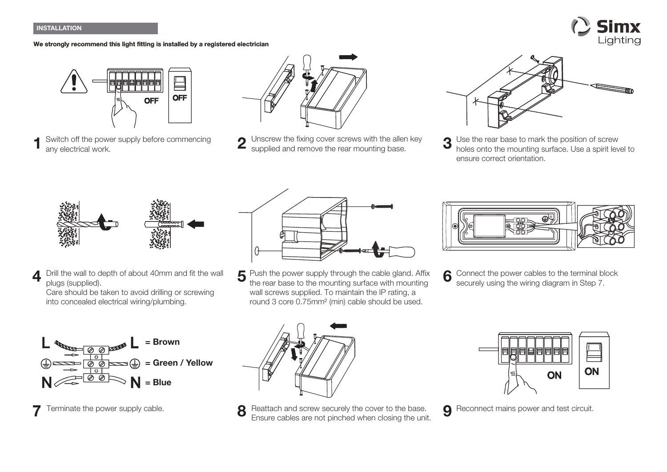#### **INSTALLATION**

#### **We strongly recommend this light fitting is installed by a registered electrician**





Switch off the power supply before commencing any electrical work.



1 Switch off the power supply before commencing 2 Unscrew the fixing cover screws with the allen key 3 supplied and remove the rear mounting base supplied and remove the rear mounting base.



Use the rear base to mark the position of screw holes onto the mounting surface. Use a spirit level to ensure correct orientation.



**4** Drill the wall to depth of about 40mm and fit the wall **5** Push the power supply through the cable gland. Affix **6** Drill the wall to depth of about 40mm and fit the wall plugs (supplied).

Care should be taken to avoid drilling or screwing into concealed electrical wiring/plumbing.





the rear base to the mounting surface with mounting wall screws supplied. To maintain the IP rating, a round 3 core 0.75mm² (min) cable should be used.



6 Connect the power cables to the terminal block securely using the wiring diagram in Step 7.



**7** Terminate the power supply cable. **Reattach and screw securely the cover to the base. 9** Ensure cables are not pinched when closing the unit.



**9** Reconnect mains power and test circuit.